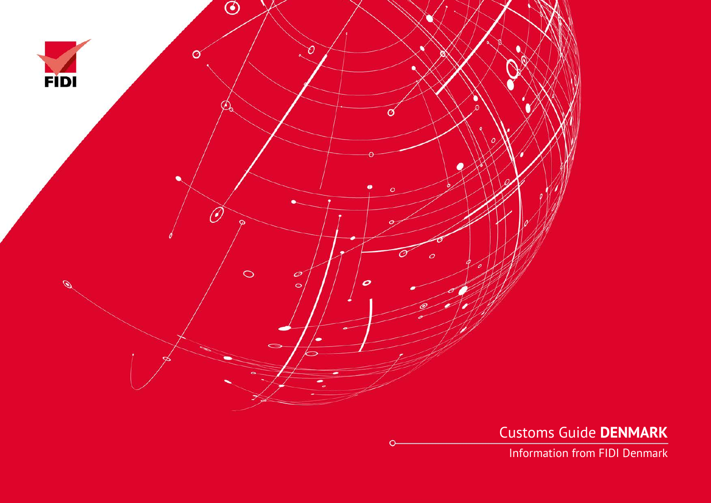

Customs Guide **DENMARK**

Information from FIDI Denmark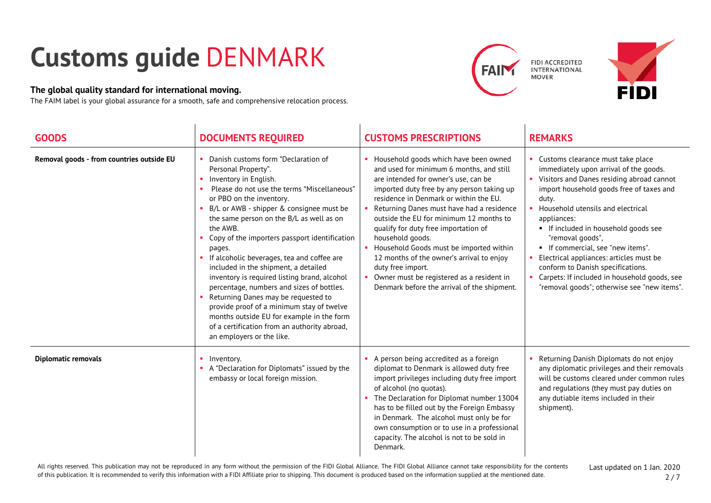## **Customs guide** DENMARK

## **The global quality standard for international moving.**

The FAIM label is your global assurance for a smooth, safe and comprehensive relocation process.



FIDI ACCREDITED **INTERNATIONAL MOVER** 



| <b>GOODS</b>                              | <b>DOCUMENTS REQUIRED</b>                                                                                                                                                                                                                                                                                                                                                                                                                                                                                                                                                                                                                                                                                                      | <b>CUSTOMS PRESCRIPTIONS</b>                                                                                                                                                                                                                                                                                                                                                                                                                                                                                                                                                     | <b>REMARKS</b>                                                                                                                                                                                                                                                                                                                                                                                                                                                                                                          |
|-------------------------------------------|--------------------------------------------------------------------------------------------------------------------------------------------------------------------------------------------------------------------------------------------------------------------------------------------------------------------------------------------------------------------------------------------------------------------------------------------------------------------------------------------------------------------------------------------------------------------------------------------------------------------------------------------------------------------------------------------------------------------------------|----------------------------------------------------------------------------------------------------------------------------------------------------------------------------------------------------------------------------------------------------------------------------------------------------------------------------------------------------------------------------------------------------------------------------------------------------------------------------------------------------------------------------------------------------------------------------------|-------------------------------------------------------------------------------------------------------------------------------------------------------------------------------------------------------------------------------------------------------------------------------------------------------------------------------------------------------------------------------------------------------------------------------------------------------------------------------------------------------------------------|
| Removal goods - from countries outside EU | Danish customs form "Declaration of<br>Personal Property".<br>Inventory in English.<br>Please do not use the terms "Miscellaneous"<br>or PBO on the inventory.<br>B/L or AWB - shipper & consignee must be<br>the same person on the B/L as well as on<br>the AWB.<br>Copy of the importers passport identification<br>pages.<br>If alcoholic beverages, tea and coffee are<br>included in the shipment, a detailed<br>inventory is required listing brand, alcohol<br>percentage, numbers and sizes of bottles.<br>Returning Danes may be requested to<br>provide proof of a minimum stay of twelve<br>months outside EU for example in the form<br>of a certification from an authority abroad,<br>an employers or the like. | • Household goods which have been owned<br>and used for minimum 6 months, and still<br>are intended for owner's use, can be<br>imported duty free by any person taking up<br>residence in Denmark or within the EU.<br>Returning Danes must have had a residence<br>outside the EU for minimum 12 months to<br>qualify for duty free importation of<br>household goods.<br>Household Goods must be imported within<br>12 months of the owner's arrival to enjoy<br>duty free import.<br>Owner must be registered as a resident in<br>Denmark before the arrival of the shipment. | • Customs clearance must take place<br>immediately upon arrival of the goods.<br>• Visitors and Danes residing abroad cannot<br>import household goods free of taxes and<br>duty.<br>• Household utensils and electrical<br>appliances:<br>If included in household goods see<br>"removal goods",<br>" If commercial, see "new items".<br>Electrical appliances: articles must be<br>conform to Danish specifications.<br>• Carpets: If included in household goods, see<br>"removal goods"; otherwise see "new items". |
| <b>Diplomatic removals</b>                | Inventory.<br>A "Declaration for Diplomats" issued by the<br>embassy or local foreign mission.                                                                                                                                                                                                                                                                                                                                                                                                                                                                                                                                                                                                                                 | A person being accredited as a foreign<br>diplomat to Denmark is allowed duty free<br>import privileges including duty free import<br>of alcohol (no quotas).<br>The Declaration for Diplomat number 13004<br>has to be filled out by the Foreign Embassy<br>in Denmark. The alcohol must only be for<br>own consumption or to use in a professional<br>capacity. The alcohol is not to be sold in<br>Denmark.                                                                                                                                                                   | Returning Danish Diplomats do not enjoy<br>any diplomatic privileges and their removals<br>will be customs cleared under common rules<br>and regulations (they must pay duties on<br>any dutiable items included in their<br>shipment).                                                                                                                                                                                                                                                                                 |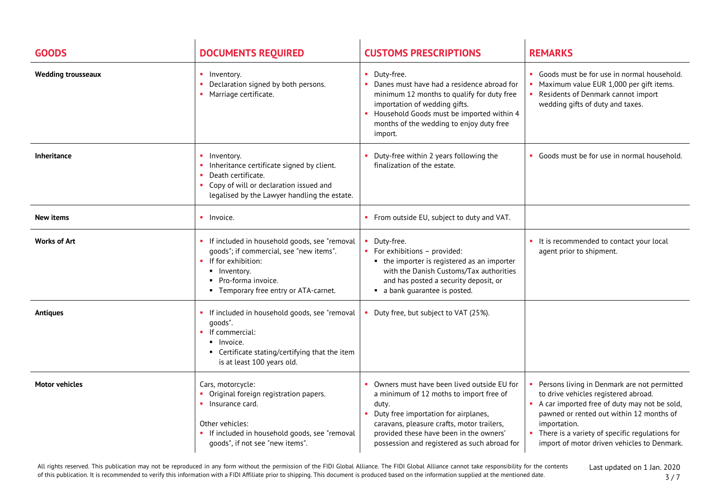| <b>GOODS</b>              | <b>DOCUMENTS REQUIRED</b>                                                                                                                                                                          | <b>CUSTOMS PRESCRIPTIONS</b>                                                                                                                                                                                                                                                    | <b>REMARKS</b>                                                                                                                                                                                                                                                                                     |
|---------------------------|----------------------------------------------------------------------------------------------------------------------------------------------------------------------------------------------------|---------------------------------------------------------------------------------------------------------------------------------------------------------------------------------------------------------------------------------------------------------------------------------|----------------------------------------------------------------------------------------------------------------------------------------------------------------------------------------------------------------------------------------------------------------------------------------------------|
| <b>Wedding trousseaux</b> | • Inventory.<br>Declaration signed by both persons.<br>Marriage certificate.                                                                                                                       | • Duty-free.<br>Danes must have had a residence abroad for<br>minimum 12 months to qualify for duty free<br>importation of wedding gifts.<br>Household Goods must be imported within 4<br>months of the wedding to enjoy duty free<br>import.                                   | • Goods must be for use in normal household.<br>Maximum value EUR 1,000 per gift items.<br>Residents of Denmark cannot import<br>wedding gifts of duty and taxes.                                                                                                                                  |
| <b>Inheritance</b>        | Inventory.<br>Inheritance certificate signed by client.<br>Death certificate.<br>Copy of will or declaration issued and<br>$\mathbf{u}$<br>legalised by the Lawyer handling the estate.            | Duty-free within 2 years following the<br>finalization of the estate.                                                                                                                                                                                                           | • Goods must be for use in normal household.                                                                                                                                                                                                                                                       |
| <b>New items</b>          | $\blacksquare$ Invoice.                                                                                                                                                                            | • From outside EU, subject to duty and VAT.                                                                                                                                                                                                                                     |                                                                                                                                                                                                                                                                                                    |
| <b>Works of Art</b>       | • If included in household goods, see "removal<br>qoods"; if commercial, see "new items".<br>• If for exhibition:<br>· Inventory.<br>• Pro-forma invoice.<br>• Temporary free entry or ATA-carnet. | Duty-free.<br>• For exhibitions - provided:<br>• the importer is registered as an importer<br>with the Danish Customs/Tax authorities<br>and has posted a security deposit, or<br>• a bank guarantee is posted.                                                                 | • It is recommended to contact your local<br>agent prior to shipment.                                                                                                                                                                                                                              |
| <b>Antiques</b>           | If included in household goods, see "removal<br>qoods".<br>$\blacksquare$ If commercial:<br>• Invoice.<br>• Certificate stating/certifying that the item<br>is at least 100 years old.             | Duty free, but subject to VAT (25%).                                                                                                                                                                                                                                            |                                                                                                                                                                                                                                                                                                    |
| <b>Motor vehicles</b>     | Cars, motorcycle:<br>Original foreign registration papers.<br>• Insurance card.<br>Other vehicles:<br>• If included in household goods, see "removal<br>goods", if not see "new items".            | Owners must have been lived outside EU for<br>a minimum of 12 moths to import free of<br>duty.<br>Duty free importation for airplanes,<br>caravans, pleasure crafts, motor trailers,<br>provided these have been in the owners'<br>possession and registered as such abroad for | Persons living in Denmark are not permitted<br>to drive vehicles registered abroad.<br>A car imported free of duty may not be sold,<br>pawned or rented out within 12 months of<br>importation.<br>• There is a variety of specific regulations for<br>import of motor driven vehicles to Denmark. |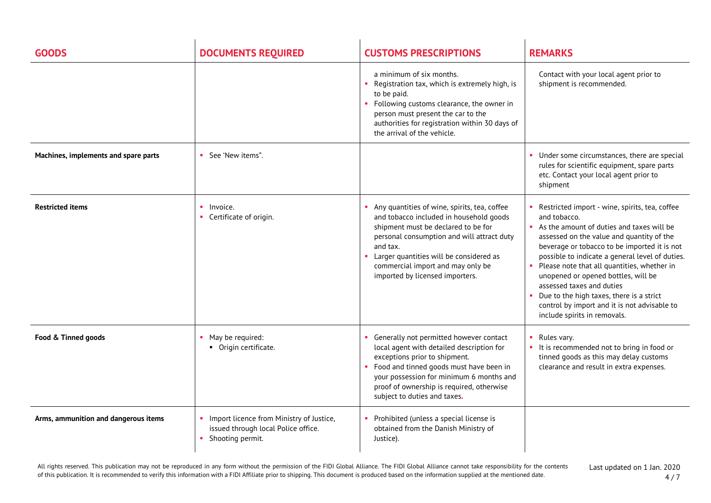| <b>GOODS</b>                         | <b>DOCUMENTS REQUIRED</b>                                                                           | <b>CUSTOMS PRESCRIPTIONS</b>                                                                                                                                                                                                                                                                                | <b>REMARKS</b>                                                                                                                                                                                                                                                                                                                                                                                                                                                                                             |
|--------------------------------------|-----------------------------------------------------------------------------------------------------|-------------------------------------------------------------------------------------------------------------------------------------------------------------------------------------------------------------------------------------------------------------------------------------------------------------|------------------------------------------------------------------------------------------------------------------------------------------------------------------------------------------------------------------------------------------------------------------------------------------------------------------------------------------------------------------------------------------------------------------------------------------------------------------------------------------------------------|
|                                      |                                                                                                     | a minimum of six months.<br>• Registration tax, which is extremely high, is<br>to be paid.<br>• Following customs clearance, the owner in<br>person must present the car to the<br>authorities for registration within 30 days of<br>the arrival of the vehicle.                                            | Contact with your local agent prior to<br>shipment is recommended.                                                                                                                                                                                                                                                                                                                                                                                                                                         |
| Machines, implements and spare parts | • See 'New items".                                                                                  |                                                                                                                                                                                                                                                                                                             | • Under some circumstances, there are special<br>rules for scientific equipment, spare parts<br>etc. Contact your local agent prior to<br>shipment                                                                                                                                                                                                                                                                                                                                                         |
| <b>Restricted items</b>              | Invoice.<br>٠<br>Certificate of origin.                                                             | Any quantities of wine, spirits, tea, coffee<br>and tobacco included in household goods<br>shipment must be declared to be for<br>personal consumption and will attract duty<br>and tax.<br>Larger quantities will be considered as<br>commercial import and may only be<br>imported by licensed importers. | Restricted import - wine, spirits, tea, coffee<br>and tobacco.<br>As the amount of duties and taxes will be<br>assessed on the value and quantity of the<br>beverage or tobacco to be imported it is not<br>possible to indicate a general level of duties.<br>Please note that all quantities, whether in<br>unopened or opened bottles, will be<br>assessed taxes and duties<br>Due to the high taxes, there is a strict<br>control by import and it is not advisable to<br>include spirits in removals. |
| Food & Tinned goods                  | May be required:<br>• Origin certificate.                                                           | • Generally not permitted however contact<br>local agent with detailed description for<br>exceptions prior to shipment.<br>• Food and tinned goods must have been in<br>your possession for minimum 6 months and<br>proof of ownership is required, otherwise<br>subject to duties and taxes.               | $\blacksquare$ Rules vary.<br>• It is recommended not to bring in food or<br>tinned goods as this may delay customs<br>clearance and result in extra expenses.                                                                                                                                                                                                                                                                                                                                             |
| Arms, ammunition and dangerous items | Import licence from Ministry of Justice,<br>issued through local Police office.<br>Shooting permit. | Prohibited (unless a special license is<br>obtained from the Danish Ministry of<br>Justice).                                                                                                                                                                                                                |                                                                                                                                                                                                                                                                                                                                                                                                                                                                                                            |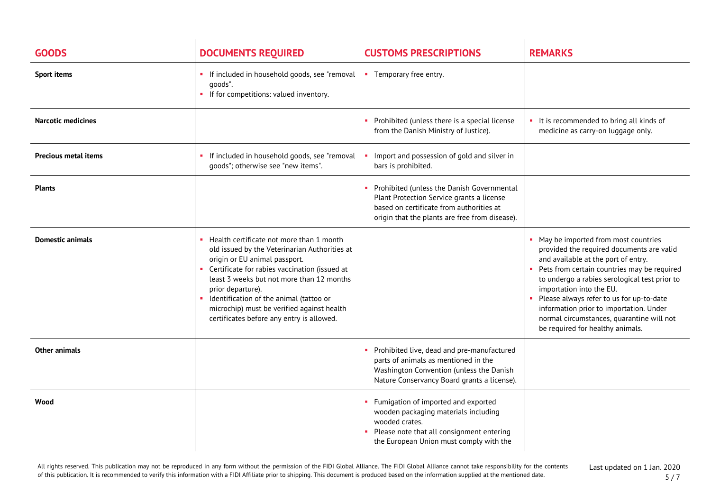| <b>GOODS</b>                | <b>DOCUMENTS REQUIRED</b>                                                                                                                                                                                                                                                                                                                                                               | <b>CUSTOMS PRESCRIPTIONS</b>                                                                                                                                                          | <b>REMARKS</b>                                                                                                                                                                                                                                                                                                                                                                                                                                               |
|-----------------------------|-----------------------------------------------------------------------------------------------------------------------------------------------------------------------------------------------------------------------------------------------------------------------------------------------------------------------------------------------------------------------------------------|---------------------------------------------------------------------------------------------------------------------------------------------------------------------------------------|--------------------------------------------------------------------------------------------------------------------------------------------------------------------------------------------------------------------------------------------------------------------------------------------------------------------------------------------------------------------------------------------------------------------------------------------------------------|
| <b>Sport items</b>          | • If included in household goods, see "removal<br>goods".<br>• If for competitions: valued inventory.                                                                                                                                                                                                                                                                                   | • Temporary free entry.                                                                                                                                                               |                                                                                                                                                                                                                                                                                                                                                                                                                                                              |
| <b>Narcotic medicines</b>   |                                                                                                                                                                                                                                                                                                                                                                                         | Prohibited (unless there is a special license<br>from the Danish Ministry of Justice).                                                                                                | • It is recommended to bring all kinds of<br>medicine as carry-on luggage only.                                                                                                                                                                                                                                                                                                                                                                              |
| <b>Precious metal items</b> | If included in household goods, see "removal<br>goods"; otherwise see "new items".                                                                                                                                                                                                                                                                                                      | Import and possession of gold and silver in<br>bars is prohibited.                                                                                                                    |                                                                                                                                                                                                                                                                                                                                                                                                                                                              |
| <b>Plants</b>               |                                                                                                                                                                                                                                                                                                                                                                                         | Prohibited (unless the Danish Governmental<br>Plant Protection Service grants a license<br>based on certificate from authorities at<br>origin that the plants are free from disease). |                                                                                                                                                                                                                                                                                                                                                                                                                                                              |
| <b>Domestic animals</b>     | Health certificate not more than 1 month<br>old issued by the Veterinarian Authorities at<br>origin or EU animal passport.<br>• Certificate for rabies vaccination (issued at<br>least 3 weeks but not more than 12 months<br>prior departure).<br>• Identification of the animal (tattoo or<br>microchip) must be verified against health<br>certificates before any entry is allowed. |                                                                                                                                                                                       | • May be imported from most countries<br>provided the required documents are valid<br>and available at the port of entry.<br>Pets from certain countries may be required<br>to undergo a rabies serological test prior to<br>importation into the EU.<br>Please always refer to us for up-to-date<br>$\mathcal{L}_{\mathcal{A}}$<br>information prior to importation. Under<br>normal circumstances, quarantine will not<br>be required for healthy animals. |
| Other animals               |                                                                                                                                                                                                                                                                                                                                                                                         | Prohibited live, dead and pre-manufactured<br>parts of animals as mentioned in the<br>Washington Convention (unless the Danish<br>Nature Conservancy Board grants a license).         |                                                                                                                                                                                                                                                                                                                                                                                                                                                              |
| Wood                        |                                                                                                                                                                                                                                                                                                                                                                                         | Fumigation of imported and exported<br>wooden packaging materials including<br>wooded crates.<br>Please note that all consignment entering<br>the European Union must comply with the |                                                                                                                                                                                                                                                                                                                                                                                                                                                              |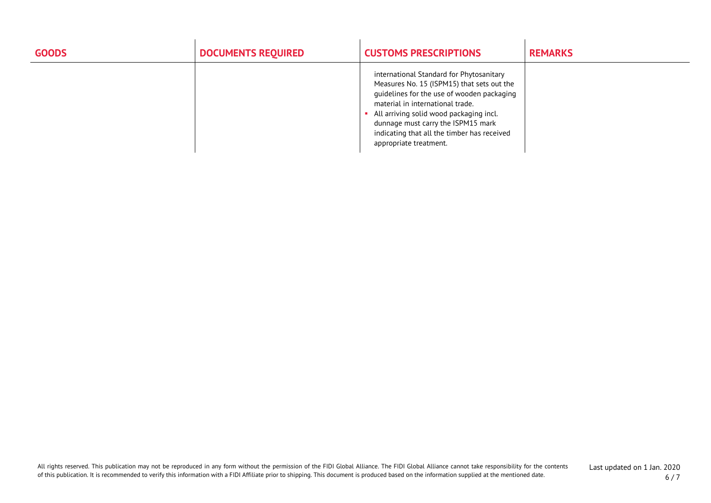| <b>GOODS</b> | <b>DOCUMENTS REQUIRED</b> | <b>CUSTOMS PRESCRIPTIONS</b>                                                                                                                                                                                                                                                                                                       | <b>REMARKS</b> |
|--------------|---------------------------|------------------------------------------------------------------------------------------------------------------------------------------------------------------------------------------------------------------------------------------------------------------------------------------------------------------------------------|----------------|
|              |                           | international Standard for Phytosanitary<br>Measures No. 15 (ISPM15) that sets out the<br>quidelines for the use of wooden packaging<br>material in international trade.<br>All arriving solid wood packaging incl.<br>dunnage must carry the ISPM15 mark<br>indicating that all the timber has received<br>appropriate treatment. |                |